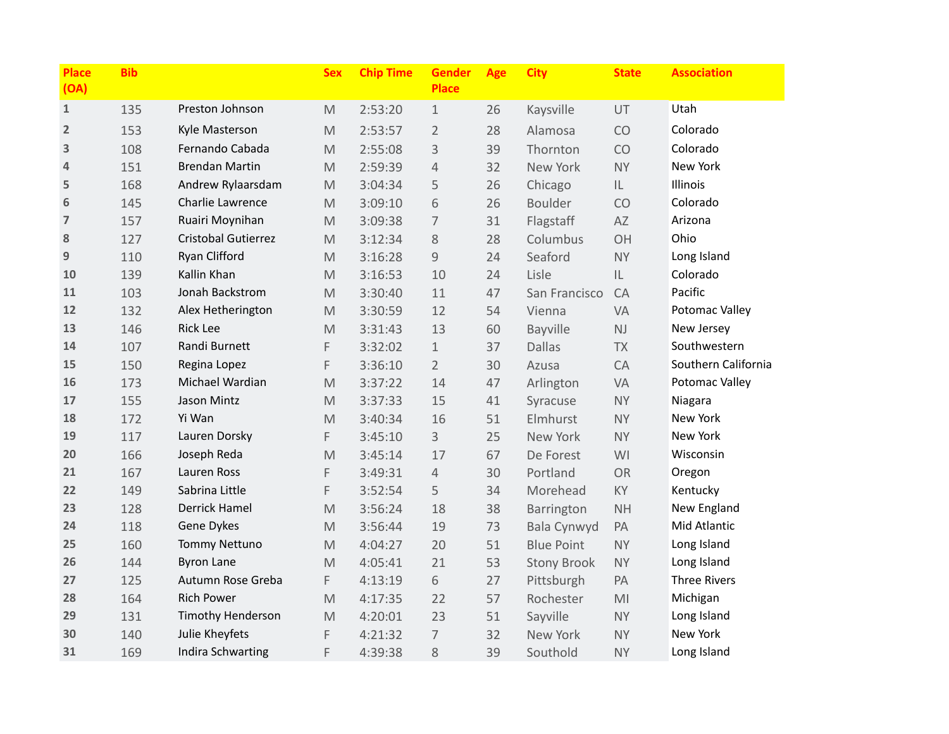| <b>Place</b><br>(OA) | <b>Bib</b> |                          | <b>Sex</b>                                                                                                 | <b>Chip Time</b> | <b>Gender</b><br><b>Place</b> | Age | <b>City</b>        | <b>State</b>   | <b>Association</b>  |
|----------------------|------------|--------------------------|------------------------------------------------------------------------------------------------------------|------------------|-------------------------------|-----|--------------------|----------------|---------------------|
| $\mathbf{1}$         | 135        | Preston Johnson          | $\mathsf{M}% _{T}=\mathsf{M}_{T}\!\left( a,b\right) ,\ \mathsf{M}_{T}=\mathsf{M}_{T}\!\left( a,b\right) ,$ | 2:53:20          | $\mathbf 1$                   | 26  | Kaysville          | UT             | Utah                |
| $\overline{2}$       | 153        | Kyle Masterson           | $\mathsf{M}% _{T}=\mathsf{M}_{T}\!\left( a,b\right) ,\ \mathsf{M}_{T}=\mathsf{M}_{T}\!\left( a,b\right) ,$ | 2:53:57          | $\overline{2}$                | 28  | Alamosa            | CO             | Colorado            |
| 3                    | 108        | Fernando Cabada          | M                                                                                                          | 2:55:08          | 3                             | 39  | Thornton           | CO             | Colorado            |
| 4                    | 151        | <b>Brendan Martin</b>    | $\mathsf{M}% _{T}=\mathsf{M}_{T}\!\left( a,b\right) ,\ \mathsf{M}_{T}=\mathsf{M}_{T}\!\left( a,b\right) ,$ | 2:59:39          | $\overline{4}$                | 32  | New York           | <b>NY</b>      | New York            |
| 5                    | 168        | Andrew Rylaarsdam        | M                                                                                                          | 3:04:34          | 5                             | 26  | Chicago            | IL.            | Illinois            |
| 6                    | 145        | Charlie Lawrence         | $\mathsf{M}% _{T}=\mathsf{M}_{T}\!\left( a,b\right) ,\ \mathsf{M}_{T}=\mathsf{M}_{T}\!\left( a,b\right) ,$ | 3:09:10          | 6                             | 26  | <b>Boulder</b>     | CO             | Colorado            |
| $\overline{7}$       | 157        | Ruairi Moynihan          | M                                                                                                          | 3:09:38          | $\overline{7}$                | 31  | Flagstaff          | AZ             | Arizona             |
| 8                    | 127        | Cristobal Gutierrez      | $\mathsf{M}% _{T}=\mathsf{M}_{T}\!\left( a,b\right) ,\ \mathsf{M}_{T}=\mathsf{M}_{T}\!\left( a,b\right) ,$ | 3:12:34          | 8                             | 28  | Columbus           | OH             | Ohio                |
| 9                    | 110        | Ryan Clifford            | $\mathsf{M}% _{T}=\mathsf{M}_{T}\!\left( a,b\right) ,\ \mathsf{M}_{T}=\mathsf{M}_{T}\!\left( a,b\right) ,$ | 3:16:28          | $\overline{9}$                | 24  | Seaford            | <b>NY</b>      | Long Island         |
| 10                   | 139        | Kallin Khan              | $\mathsf{M}% _{T}=\mathsf{M}_{T}\!\left( a,b\right) ,\ \mathsf{M}_{T}=\mathsf{M}_{T}\!\left( a,b\right) ,$ | 3:16:53          | 10                            | 24  | Lisle              | IL             | Colorado            |
| 11                   | 103        | Jonah Backstrom          | M                                                                                                          | 3:30:40          | 11                            | 47  | San Francisco      | CA             | Pacific             |
| 12                   | 132        | Alex Hetherington        | $\mathsf{M}% _{T}=\mathsf{M}_{T}\!\left( a,b\right) ,\ \mathsf{M}_{T}=\mathsf{M}_{T}\!\left( a,b\right) ,$ | 3:30:59          | 12                            | 54  | Vienna             | VA             | Potomac Valley      |
| 13                   | 146        | <b>Rick Lee</b>          | $\mathsf{M}% _{T}=\mathsf{M}_{T}\!\left( a,b\right) ,\ \mathsf{M}_{T}=\mathsf{M}_{T}\!\left( a,b\right) ,$ | 3:31:43          | 13                            | 60  | <b>Bayville</b>    | NJ             | New Jersey          |
| 14                   | 107        | Randi Burnett            | F                                                                                                          | 3:32:02          | $\mathbf 1$                   | 37  | <b>Dallas</b>      | <b>TX</b>      | Southwestern        |
| 15                   | 150        | Regina Lopez             | F                                                                                                          | 3:36:10          | $\overline{2}$                | 30  | Azusa              | CA             | Southern California |
| 16                   | 173        | Michael Wardian          | $\mathsf{M}% _{T}=\mathsf{M}_{T}\!\left( a,b\right) ,\ \mathsf{M}_{T}=\mathsf{M}_{T}\!\left( a,b\right) ,$ | 3:37:22          | 14                            | 47  | Arlington          | VA             | Potomac Valley      |
| 17                   | 155        | Jason Mintz              | $\mathsf{M}% _{T}=\mathsf{M}_{T}\!\left( a,b\right) ,\ \mathsf{M}_{T}=\mathsf{M}_{T}\!\left( a,b\right) ,$ | 3:37:33          | 15                            | 41  | Syracuse           | <b>NY</b>      | Niagara             |
| 18                   | 172        | Yi Wan                   | $\mathsf{M}% _{T}=\mathsf{M}_{T}\!\left( a,b\right) ,\ \mathsf{M}_{T}=\mathsf{M}_{T}\!\left( a,b\right) ,$ | 3:40:34          | 16                            | 51  | Elmhurst           | <b>NY</b>      | New York            |
| 19                   | 117        | Lauren Dorsky            | F                                                                                                          | 3:45:10          | 3                             | 25  | New York           | <b>NY</b>      | New York            |
| 20                   | 166        | Joseph Reda              | $\mathsf{M}% _{T}=\mathsf{M}_{T}\!\left( a,b\right) ,\ \mathsf{M}_{T}=\mathsf{M}_{T}\!\left( a,b\right) ,$ | 3:45:14          | 17                            | 67  | De Forest          | WI             | Wisconsin           |
| 21                   | 167        | Lauren Ross              | F                                                                                                          | 3:49:31          | $\overline{4}$                | 30  | Portland           | <b>OR</b>      | Oregon              |
| 22                   | 149        | Sabrina Little           | F                                                                                                          | 3:52:54          | 5                             | 34  | Morehead           | KY             | Kentucky            |
| 23                   | 128        | <b>Derrick Hamel</b>     | M                                                                                                          | 3:56:24          | 18                            | 38  | Barrington         | <b>NH</b>      | New England         |
| 24                   | 118        | Gene Dykes               | $\mathsf{M}% _{T}=\mathsf{M}_{T}\!\left( a,b\right) ,\ \mathsf{M}_{T}=\mathsf{M}_{T}\!\left( a,b\right) ,$ | 3:56:44          | 19                            | 73  | Bala Cynwyd        | PA             | Mid Atlantic        |
| 25                   | 160        | <b>Tommy Nettuno</b>     | $\mathsf{M}% _{T}=\mathsf{M}_{T}\!\left( a,b\right) ,\ \mathsf{M}_{T}=\mathsf{M}_{T}\!\left( a,b\right) ,$ | 4:04:27          | 20                            | 51  | <b>Blue Point</b>  | <b>NY</b>      | Long Island         |
| 26                   | 144        | <b>Byron Lane</b>        | M                                                                                                          | 4:05:41          | 21                            | 53  | <b>Stony Brook</b> | <b>NY</b>      | Long Island         |
| 27                   | 125        | Autumn Rose Greba        | F                                                                                                          | 4:13:19          | 6                             | 27  | Pittsburgh         | PA             | <b>Three Rivers</b> |
| 28                   | 164        | <b>Rich Power</b>        | $\mathsf{M}% _{T}=\mathsf{M}_{T}\!\left( a,b\right) ,\ \mathsf{M}_{T}=\mathsf{M}_{T}\!\left( a,b\right) ,$ | 4:17:35          | 22                            | 57  | Rochester          | M <sub>l</sub> | Michigan            |
| 29                   | 131        | <b>Timothy Henderson</b> | $\mathsf{M}% _{T}=\mathsf{M}_{T}\!\left( a,b\right) ,\ \mathsf{M}_{T}=\mathsf{M}_{T}\!\left( a,b\right) ,$ | 4:20:01          | 23                            | 51  | Sayville           | <b>NY</b>      | Long Island         |
| 30                   | 140        | Julie Kheyfets           | F                                                                                                          | 4:21:32          | $\overline{7}$                | 32  | New York           | <b>NY</b>      | New York            |
| 31                   | 169        | Indira Schwarting        | F                                                                                                          | 4:39:38          | 8                             | 39  | Southold           | <b>NY</b>      | Long Island         |